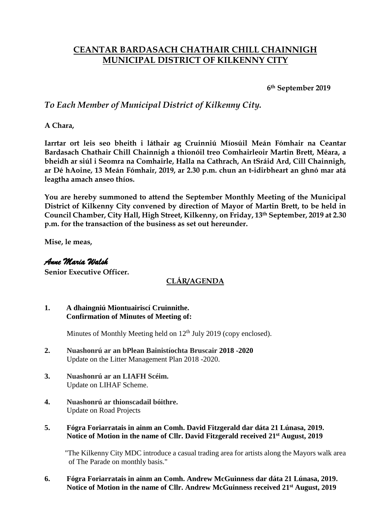# **CEANTAR BARDASACH CHATHAIR CHILL CHAINNIGH MUNICIPAL DISTRICT OF KILKENNY CITY**

**6th September 2019**

## *To Each Member of Municipal District of Kilkenny City.*

**A Chara,**

**Iarrtar ort leis seo bheith i láthair ag Cruinniú Míosúil Meán Fómhair na Ceantar Bardasach Chathair Chill Chainnigh a thionóil treo Comhairleoir Martin Brett, Méara, a bheidh ar siúl i Seomra na Comhairle, Halla na Cathrach, An tSráid Ard, Cill Chainnigh, ar Dé hAoine, 13 Meán Fómhair, 2019, ar 2.30 p.m. chun an t-idirbheart an ghnó mar atá leagtha amach anseo thíos.**

**You are hereby summoned to attend the September Monthly Meeting of the Municipal District of Kilkenny City convened by direction of Mayor of Martin Brett, to be held in Council Chamber, City Hall, High Street, Kilkenny, on Friday, 13th September, 2019 at 2.30 p.m. for the transaction of the business as set out hereunder.**

**Mise, le meas,**

### *Anne Maria Walsh*

**Senior Executive Officer.**

## **CLÁR/AGENDA**

### **1. A dhaingniú Miontuairiscí Cruinnithe. Confirmation of Minutes of Meeting of:**

Minutes of Monthly Meeting held on 12<sup>th</sup> July 2019 (copy enclosed).

- **2. Nuashonrú ar an bPlean Bainistíochta Bruscair 2018 -2020** Update on the Litter Management Plan 2018 -2020.
- **3. Nuashonrú ar an LIAFH Scéim.** Update on LIHAF Scheme.
- **4. Nuashonrú ar thionscadail bóithre.**  Update on Road Projects
- **5. Fógra Foriarratais in ainm an Comh. David Fitzgerald dar dáta 21 Lúnasa, 2019. Notice of Motion in the name of Cllr. David Fitzgerald received 21st August, 2019**

 "The Kilkenny City MDC introduce a casual trading area for artists along the Mayors walk area of The Parade on monthly basis."

**6. Fógra Foriarratais in ainm an Comh. Andrew McGuinness dar dáta 21 Lúnasa, 2019. Notice of Motion in the name of Cllr. Andrew McGuinness received 21st August, 2019**